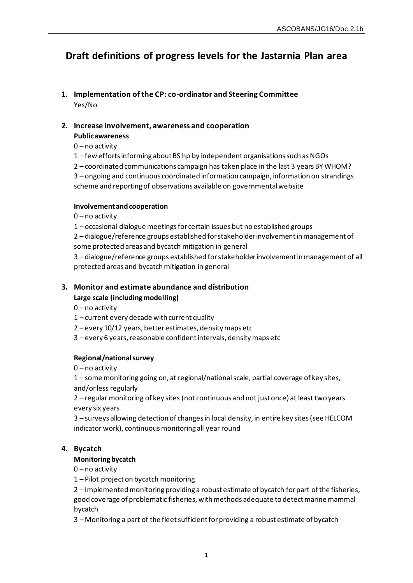# **Draft definitions of progress levels for the Jastarnia Plan area**

**1. Implementation of the CP: co-ordinator and Steering Committee** Yes/No

# **2. Increase involvement, awareness and cooperation**

# **Public awareness**

- 0 no activity
- 1 few efforts informing about BS hp by independent organisations such as NGOs
- 2 coordinated communications campaign has taken place in the last 3 years BY WHOM?

3 – ongoing and continuous coordinated information campaign, information on strandings scheme and reporting of observations available on governmental website

# **Involvement and cooperation**

- 0 no activity
- 1 occasional dialogue meetings for certain issues but no established groups

2 – dialogue/reference groups established for stakeholder involvement in management of some protected areas and bycatch mitigation in general

3 – dialogue/reference groups established for stakeholder involvement in management of all protected areas and bycatch mitigation in general

# **3. Monitor and estimate abundance and distribution Large scale (including modelling)**

0 – no activity

- 1 current every decade with current quality
- 2 every 10/12 years, better estimates, density maps etc
- 3 every 6 years, reasonable confident intervals, density maps etc

# **Regional/national survey**

0 – no activity

1 – some monitoring going on, at regional/national scale, partial coverage of key sites,

and/or less regularly

2 – regular monitoring of key sites (not continuous and not just once) at least two years every six years

3 – surveys allowing detection of changes in local density, in entire key sites (see HELCOM indicator work), continuous monitoring all year round

# **4. Bycatch**

# **Monitoring bycatch**

 $0 - no$  activity

1 – Pilot project on bycatch monitoring

2 – Implementedmonitoring providing a robust estimate of bycatch for part of the fisheries, good coverage of problematic fisheries, with methods adequate to detect marine mammal bycatch

3 – Monitoring a part of the fleet sufficient for providing a robust estimate of bycatch